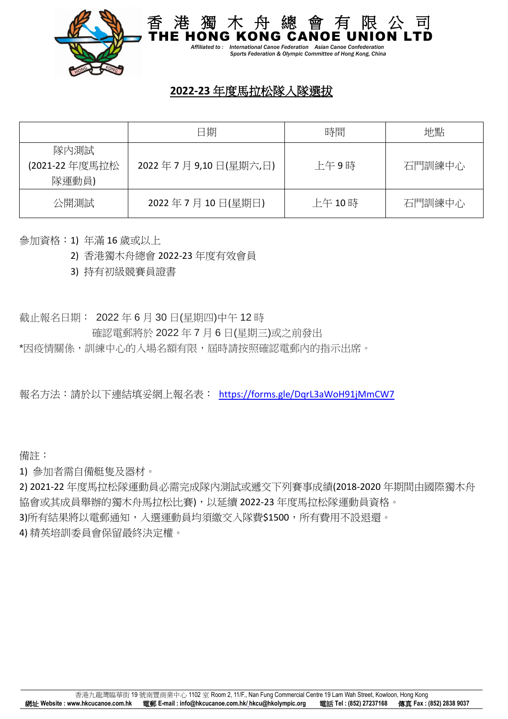

 *Affiliated to : International Canoe Federation Asian Canoe Confederation Sports Federation & Olympic Committee of Hong Kong, China*

## **2022-23** 年度馬拉松隊入隊選拔

|                                 | 日期                  | 時間     | 地點     |
|---------------------------------|---------------------|--------|--------|
| 隊內測試<br>(2021-22 年度馬拉松<br>隊運動員) | 2022年7月9,10日(星期六,日) | 上午9時   | 石門訓練中心 |
| 公開測試                            | 2022年7月10日(星期日)     | 上午 10時 | 石門訓練中心 |

參加資格:1) 年滿 16 歲或以上

2) 香港獨木舟總會 2022-23 年度有效會員

3) 持有初級競賽員證書

截止報名日期: 2022 年 6 月 30 日(星期四)中午 12 時

確認電郵將於 2022 年 7 月 6 日(星期三)或之前發出

\*因疫情關係,訓練中心的入場名額有限,屆時請按照確認電郵內的指示出席。

報名方法:請於以下連結填妥網上報名表: <https://forms.gle/DqrL3aWoH91jMmCW7>

備註:

1) 參加者需自備艇隻及器材。

2) 2021-22 年度馬拉松隊運動員必需完成隊內測試或遞交下列賽事成績(2018-2020 年期間由國際獨木舟 協會或其成員舉辦的獨木舟馬拉松比賽),以延續 2022-23 年度馬拉松隊運動員資格。

3)所有結果將以電郵通知,入選運動員均須繳交入隊費\$1500,所有費用不設退還。

4) 精英培訓委員會保留最終決定權。